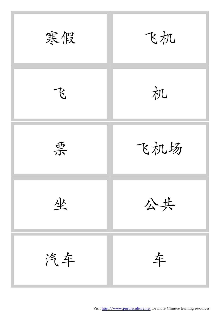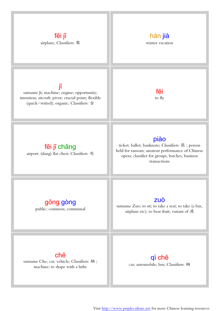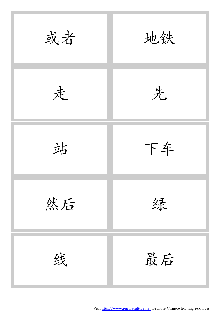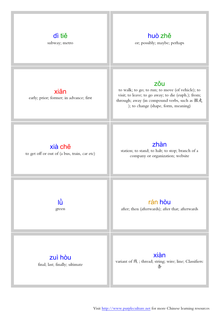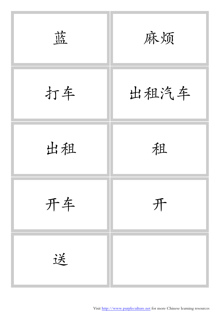